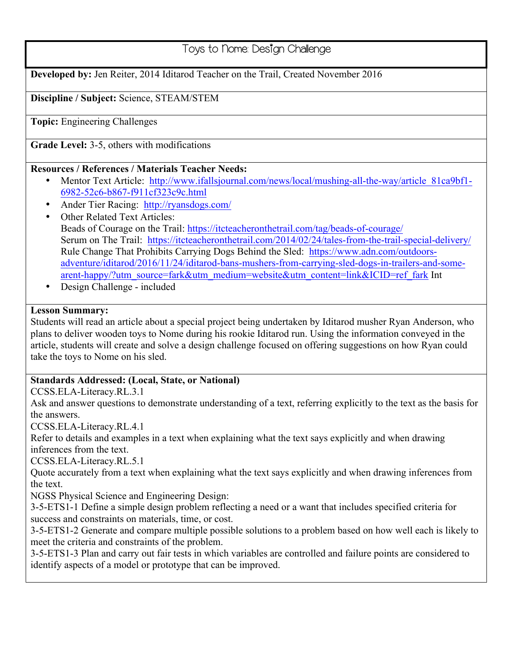# Toys to Nome: Design Challenge

**Developed by:** Jen Reiter, 2014 Iditarod Teacher on the Trail, Created November 2016

#### **Discipline / Subject:** Science, STEAM/STEM

**Topic:** Engineering Challenges

**Grade Level:** 3-5, others with modifications

#### **Resources / References / Materials Teacher Needs:**

- Mentor Text Article: http://www.ifallsjournal.com/news/local/mushing-all-the-way/article\_81ca9bf1- 6982-52c6-b867-f911cf323c9c.html
- Ander Tier Racing: http://ryansdogs.com/
- Other Related Text Articles: Beads of Courage on the Trail: https://itcteacheronthetrail.com/tag/beads-of-courage/ Serum on The Trail: https://itcteacheronthetrail.com/2014/02/24/tales-from-the-trail-special-delivery/ Rule Change That Prohibits Carrying Dogs Behind the Sled: https://www.adn.com/outdoorsadventure/iditarod/2016/11/24/iditarod-bans-mushers-from-carrying-sled-dogs-in-trailers-and-somearent-happy/?utm\_source=fark&utm\_medium=website&utm\_content=link&ICID=ref\_fark Int
- Design Challenge included

#### **Lesson Summary:**

Students will read an article about a special project being undertaken by Iditarod musher Ryan Anderson, who plans to deliver wooden toys to Nome during his rookie Iditarod run. Using the information conveyed in the article, students will create and solve a design challenge focused on offering suggestions on how Ryan could take the toys to Nome on his sled.

#### **Standards Addressed: (Local, State, or National)**

CCSS.ELA-Literacy.RL.3.1

Ask and answer questions to demonstrate understanding of a text, referring explicitly to the text as the basis for the answers.

CCSS.ELA-Literacy.RL.4.1

Refer to details and examples in a text when explaining what the text says explicitly and when drawing inferences from the text.

CCSS.ELA-Literacy.RL.5.1

Quote accurately from a text when explaining what the text says explicitly and when drawing inferences from the text.

NGSS Physical Science and Engineering Design:

3-5-ETS1-1 Define a simple design problem reflecting a need or a want that includes specified criteria for success and constraints on materials, time, or cost.

3-5-ETS1-2 Generate and compare multiple possible solutions to a problem based on how well each is likely to meet the criteria and constraints of the problem.

3-5-ETS1-3 Plan and carry out fair tests in which variables are controlled and failure points are considered to identify aspects of a model or prototype that can be improved.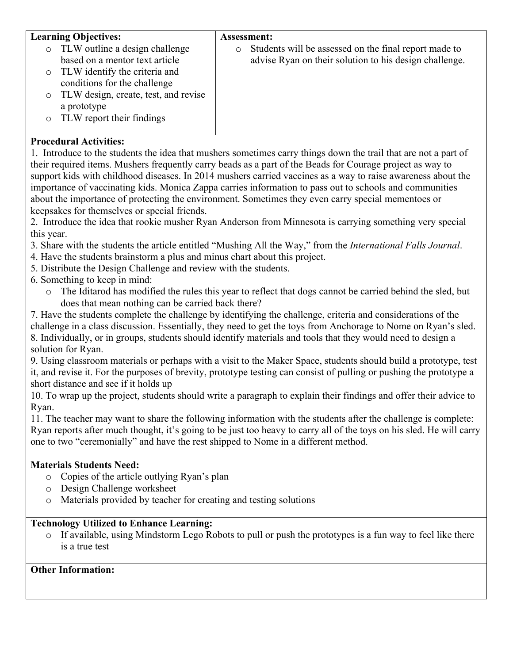| <b>Learning Objectives:</b>                     | <b>Assessment:</b>                                               |
|-------------------------------------------------|------------------------------------------------------------------|
| TLW outline a design challenge<br>$\circ$       | Students will be assessed on the final report made to<br>$\circ$ |
| based on a mentor text article                  | advise Ryan on their solution to his design challenge.           |
| TLW identify the criteria and<br>$\circ$        |                                                                  |
| conditions for the challenge                    |                                                                  |
| TLW design, create, test, and revise<br>$\circ$ |                                                                  |
| a prototype                                     |                                                                  |
| TLW report their findings                       |                                                                  |
|                                                 |                                                                  |

## **Procedural Activities:**

1. Introduce to the students the idea that mushers sometimes carry things down the trail that are not a part of their required items. Mushers frequently carry beads as a part of the Beads for Courage project as way to support kids with childhood diseases. In 2014 mushers carried vaccines as a way to raise awareness about the importance of vaccinating kids. Monica Zappa carries information to pass out to schools and communities about the importance of protecting the environment. Sometimes they even carry special mementoes or keepsakes for themselves or special friends.

2. Introduce the idea that rookie musher Ryan Anderson from Minnesota is carrying something very special this year.

- 3. Share with the students the article entitled "Mushing All the Way," from the *International Falls Journal*.
- 4. Have the students brainstorm a plus and minus chart about this project.
- 5. Distribute the Design Challenge and review with the students.
- 6. Something to keep in mind:
	- o The Iditarod has modified the rules this year to reflect that dogs cannot be carried behind the sled, but does that mean nothing can be carried back there?

7. Have the students complete the challenge by identifying the challenge, criteria and considerations of the challenge in a class discussion. Essentially, they need to get the toys from Anchorage to Nome on Ryan's sled. 8. Individually, or in groups, students should identify materials and tools that they would need to design a solution for Ryan.

9. Using classroom materials or perhaps with a visit to the Maker Space, students should build a prototype, test it, and revise it. For the purposes of brevity, prototype testing can consist of pulling or pushing the prototype a short distance and see if it holds up

10. To wrap up the project, students should write a paragraph to explain their findings and offer their advice to Ryan.

11. The teacher may want to share the following information with the students after the challenge is complete: Ryan reports after much thought, it's going to be just too heavy to carry all of the toys on his sled. He will carry one to two "ceremonially" and have the rest shipped to Nome in a different method.

## **Materials Students Need:**

- o Copies of the article outlying Ryan's plan
- o Design Challenge worksheet
- o Materials provided by teacher for creating and testing solutions

## **Technology Utilized to Enhance Learning:**

o If available, using Mindstorm Lego Robots to pull or push the prototypes is a fun way to feel like there is a true test

## **Other Information:**